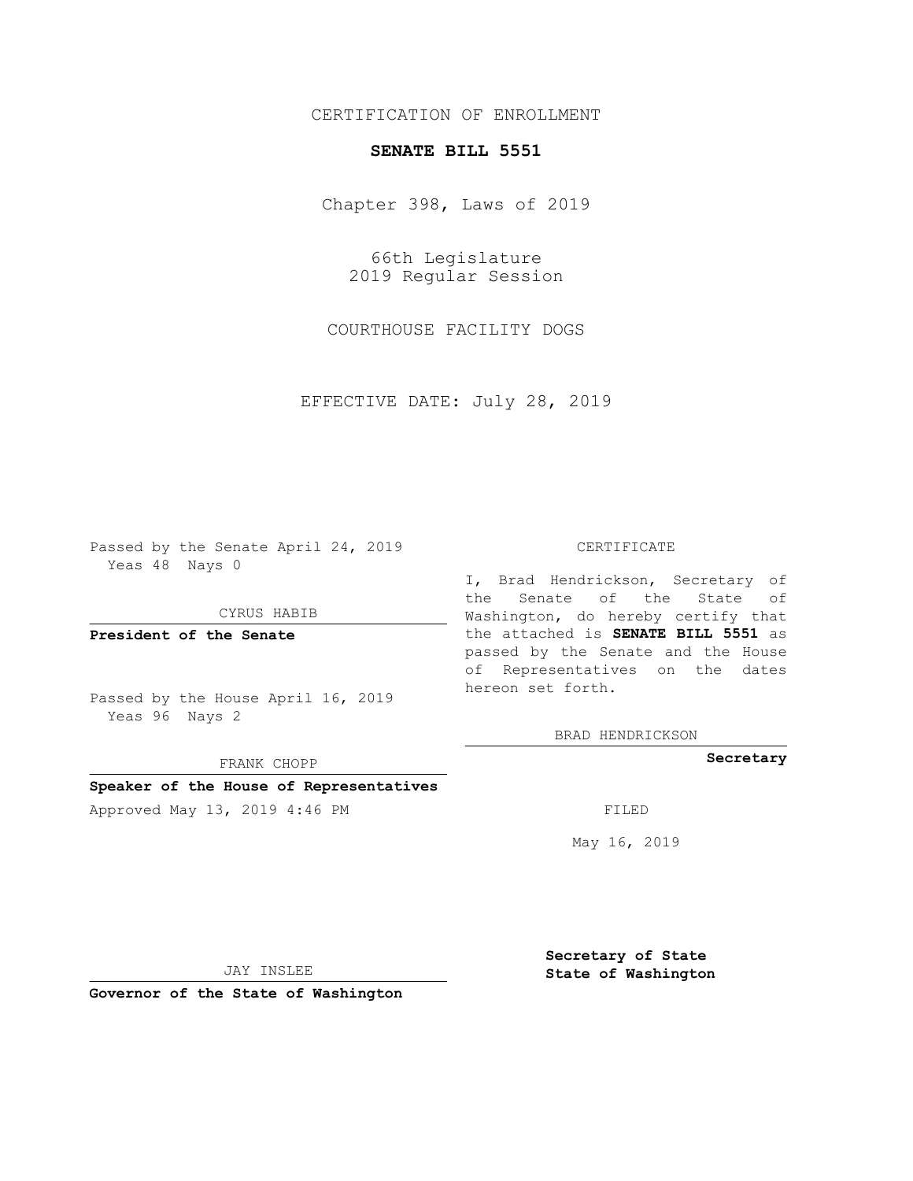# CERTIFICATION OF ENROLLMENT

# **SENATE BILL 5551**

Chapter 398, Laws of 2019

66th Legislature 2019 Regular Session

COURTHOUSE FACILITY DOGS

EFFECTIVE DATE: July 28, 2019

Passed by the Senate April 24, 2019 Yeas 48 Nays 0

CYRUS HABIB

**President of the Senate**

Passed by the House April 16, 2019 Yeas 96 Nays 2

FRANK CHOPP

## **Speaker of the House of Representatives**

Approved May 13, 2019 4:46 PM

#### CERTIFICATE

I, Brad Hendrickson, Secretary of the Senate of the State of Washington, do hereby certify that the attached is **SENATE BILL 5551** as passed by the Senate and the House of Representatives on the dates hereon set forth.

BRAD HENDRICKSON

**Secretary**

May 16, 2019

JAY INSLEE

**Governor of the State of Washington**

**Secretary of State State of Washington**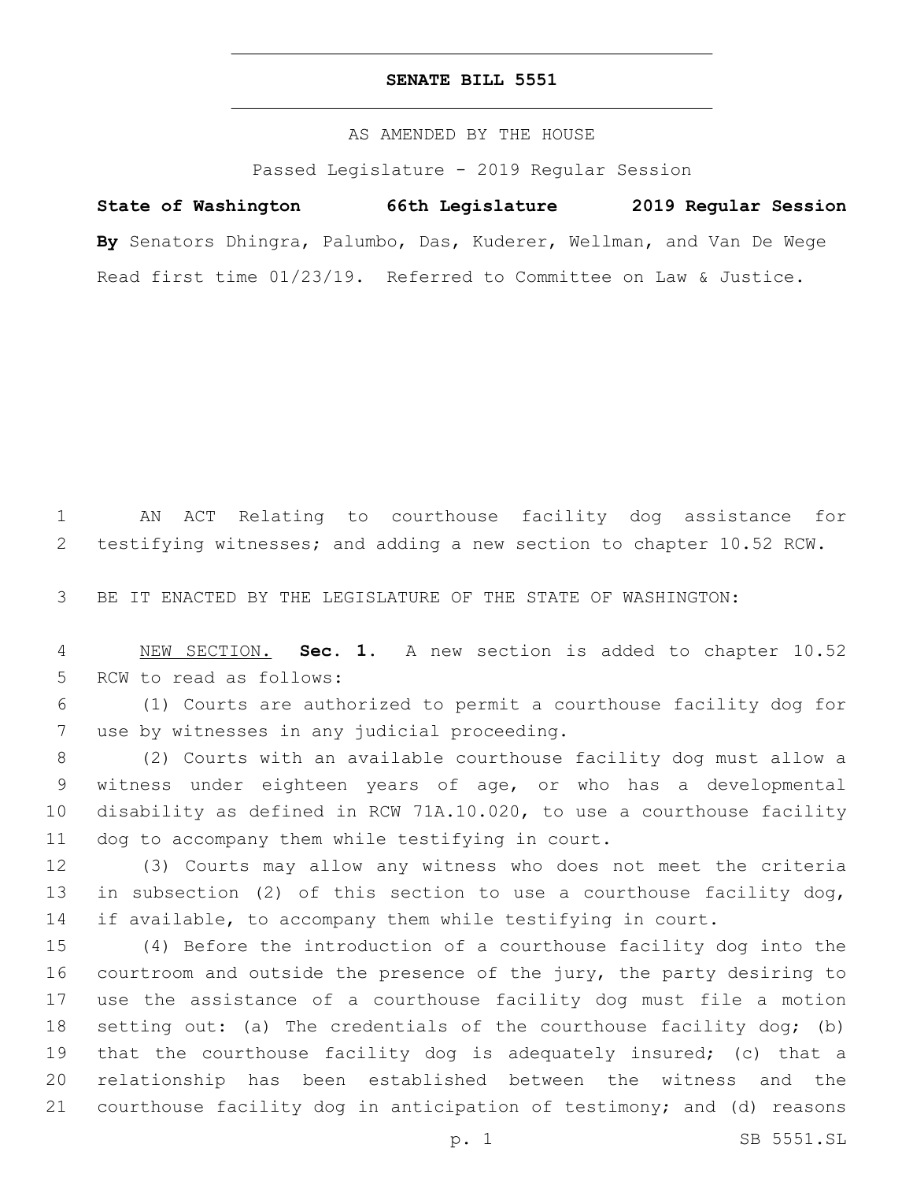## **SENATE BILL 5551**

AS AMENDED BY THE HOUSE

Passed Legislature - 2019 Regular Session

# **State of Washington 66th Legislature 2019 Regular Session By** Senators Dhingra, Palumbo, Das, Kuderer, Wellman, and Van De Wege Read first time 01/23/19. Referred to Committee on Law & Justice.

 AN ACT Relating to courthouse facility dog assistance for testifying witnesses; and adding a new section to chapter 10.52 RCW.

BE IT ENACTED BY THE LEGISLATURE OF THE STATE OF WASHINGTON:

 NEW SECTION. **Sec. 1.** A new section is added to chapter 10.52 5 RCW to read as follows:

 (1) Courts are authorized to permit a courthouse facility dog for 7 use by witnesses in any judicial proceeding.

 (2) Courts with an available courthouse facility dog must allow a witness under eighteen years of age, or who has a developmental disability as defined in RCW 71A.10.020, to use a courthouse facility 11 dog to accompany them while testifying in court.

 (3) Courts may allow any witness who does not meet the criteria in subsection (2) of this section to use a courthouse facility dog, if available, to accompany them while testifying in court.

 (4) Before the introduction of a courthouse facility dog into the courtroom and outside the presence of the jury, the party desiring to use the assistance of a courthouse facility dog must file a motion setting out: (a) The credentials of the courthouse facility dog; (b) that the courthouse facility dog is adequately insured; (c) that a relationship has been established between the witness and the courthouse facility dog in anticipation of testimony; and (d) reasons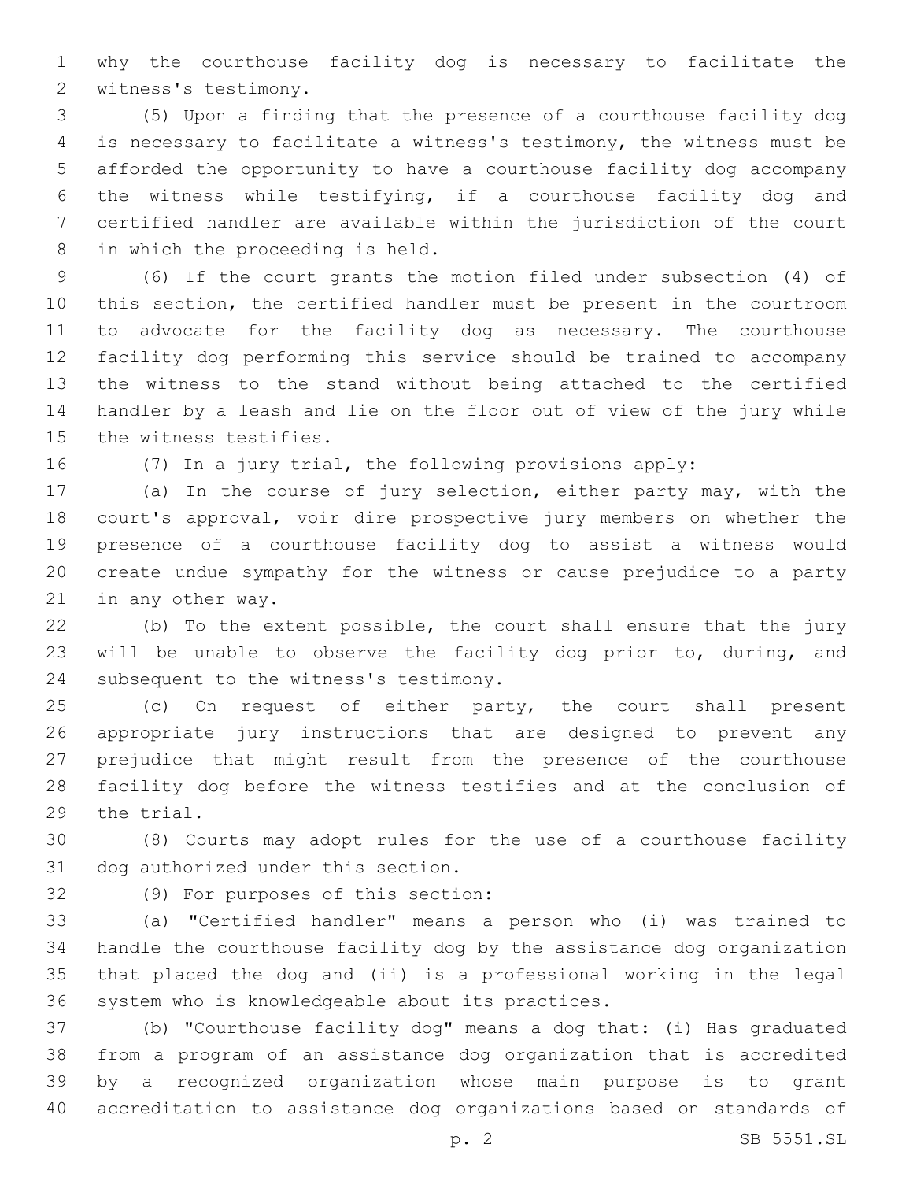why the courthouse facility dog is necessary to facilitate the 2 witness's testimony.

 (5) Upon a finding that the presence of a courthouse facility dog is necessary to facilitate a witness's testimony, the witness must be afforded the opportunity to have a courthouse facility dog accompany the witness while testifying, if a courthouse facility dog and certified handler are available within the jurisdiction of the court 8 in which the proceeding is held.

 (6) If the court grants the motion filed under subsection (4) of this section, the certified handler must be present in the courtroom to advocate for the facility dog as necessary. The courthouse facility dog performing this service should be trained to accompany the witness to the stand without being attached to the certified handler by a leash and lie on the floor out of view of the jury while the witness testifies.

(7) In a jury trial, the following provisions apply:

 (a) In the course of jury selection, either party may, with the court's approval, voir dire prospective jury members on whether the presence of a courthouse facility dog to assist a witness would create undue sympathy for the witness or cause prejudice to a party 21 in any other way.

 (b) To the extent possible, the court shall ensure that the jury will be unable to observe the facility dog prior to, during, and 24 subsequent to the witness's testimony.

 (c) On request of either party, the court shall present appropriate jury instructions that are designed to prevent any prejudice that might result from the presence of the courthouse facility dog before the witness testifies and at the conclusion of 29 the trial.

 (8) Courts may adopt rules for the use of a courthouse facility 31 dog authorized under this section.

32 (9) For purposes of this section:

 (a) "Certified handler" means a person who (i) was trained to handle the courthouse facility dog by the assistance dog organization that placed the dog and (ii) is a professional working in the legal 36 system who is knowledgeable about its practices.

 (b) "Courthouse facility dog" means a dog that: (i) Has graduated from a program of an assistance dog organization that is accredited by a recognized organization whose main purpose is to grant accreditation to assistance dog organizations based on standards of

p. 2 SB 5551.SL